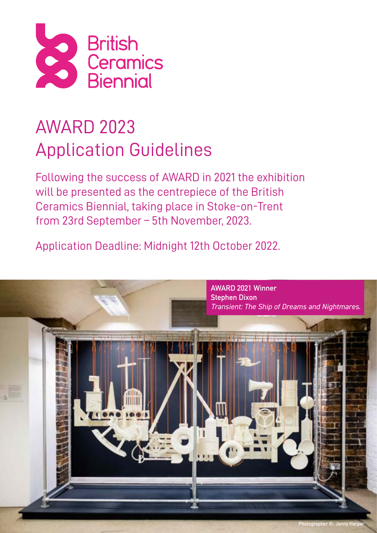

# AWARD 2023 Application Guidelines

Following the success of AWARD in 2021 the exhibition will be presented as the centrepiece of the British Ceramics Biennial, taking place in Stoke-on-Trent from 23rd September – 5th November, 2023.

Application Deadline: Midnight 12th October 2022.

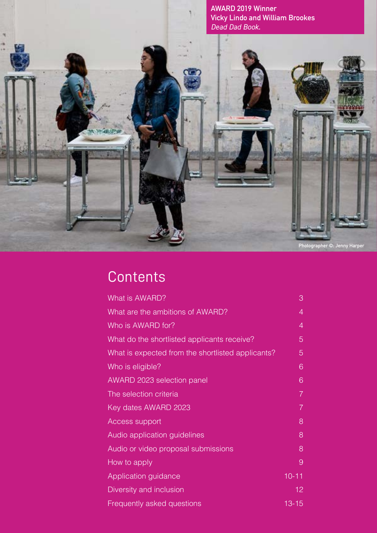

**Photographer ©: Jenny Harper**

### **Contents**

**SPAULS** 

| What is AWARD?                                    | 3               |  |
|---------------------------------------------------|-----------------|--|
| What are the ambitions of AWARD?                  | $\overline{4}$  |  |
| Who is AWARD for?                                 | $\overline{4}$  |  |
| What do the shortlisted applicants receive?       | 5               |  |
| What is expected from the shortlisted applicants? | 5               |  |
| Who is eligible?                                  | 6               |  |
| AWARD 2023 selection panel                        | 6               |  |
| The selection criteria                            | $\overline{7}$  |  |
| Key dates AWARD 2023                              | $\overline{7}$  |  |
| Access support                                    | 8               |  |
| Audio application guidelines                      | 8               |  |
| Audio or video proposal submissions               | 8               |  |
| How to apply                                      | 9               |  |
| Application guidance                              | $10 - 11$       |  |
| Diversity and inclusion                           | 12 <sub>2</sub> |  |
| Frequently asked questions                        | $13 - 15$       |  |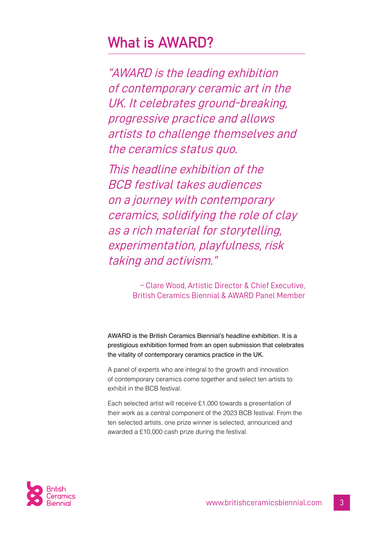### <span id="page-2-0"></span>**What is AWARD?**

"AWARD is the leading exhibition of contemporary ceramic art in the UK. It celebrates ground-breaking, progressive practice and allows artists to challenge themselves and the ceramics status quo.

This headline exhibition of the BCB festival takes audiences on a journey with contemporary ceramics, solidifying the role of clay as a rich material for storytelling, experimentation, playfulness, risk taking and activism."

> – Clare Wood, Artistic Director & Chief Executive, British Ceramics Biennial & AWARD Panel Member

AWARD is the British Ceramics Biennial's headline exhibition. It is a prestigious exhibition formed from an open submission that celebrates the vitality of contemporary ceramics practice in the UK.

A panel of experts who are integral to the growth and innovation of contemporary ceramics come together and select ten artists to exhibit in the BCB festival.

Each selected artist will receive £1,000 towards a presentation of their work as a central component of the 2023 BCB festival. From the ten selected artists, one prize winner is selected, announced and awarded a £10,000 cash prize during the festival.

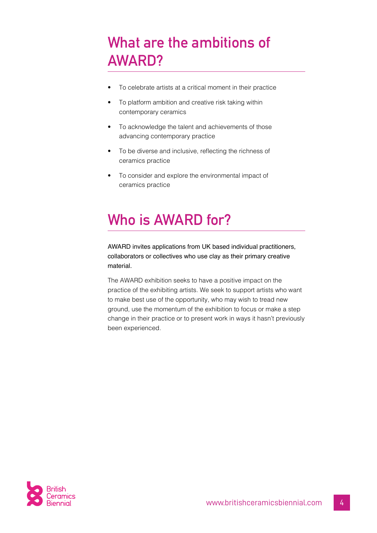### <span id="page-3-0"></span>**What are the ambitions of AWARD?**

- To celebrate artists at a critical moment in their practice
- To platform ambition and creative risk taking within contemporary ceramics
- To acknowledge the talent and achievements of those advancing contemporary practice
- To be diverse and inclusive, reflecting the richness of ceramics practice
- To consider and explore the environmental impact of ceramics practice

# <span id="page-3-1"></span>**Who is AWARD for?**

AWARD invites applications from UK based individual practitioners, collaborators or collectives who use clay as their primary creative material.

The AWARD exhibition seeks to have a positive impact on the practice of the exhibiting artists. We seek to support artists who want to make best use of the opportunity, who may wish to tread new ground, use the momentum of the exhibition to focus or make a step change in their practice or to present work in ways it hasn't previously been experienced.

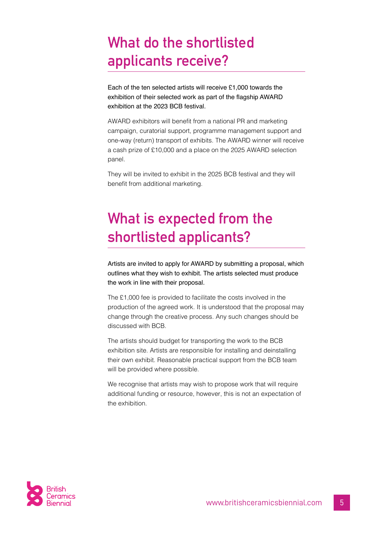### <span id="page-4-0"></span>**What do the shortlisted applicants receive?**

Each of the ten selected artists will receive £1,000 towards the exhibition of their selected work as part of the flagship AWARD exhibition at the 2023 BCB festival.

AWARD exhibitors will benefit from a national PR and marketing campaign, curatorial support, programme management support and one-way (return) transport of exhibits. The AWARD winner will receive a cash prize of £10,000 and a place on the 2025 AWARD selection panel.

They will be invited to exhibit in the 2025 BCB festival and they will benefit from additional marketing.

### <span id="page-4-1"></span>**What is expected from the shortlisted applicants?**

Artists are invited to apply for AWARD by submitting a proposal, which outlines what they wish to exhibit. The artists selected must produce the work in line with their proposal.

The £1,000 fee is provided to facilitate the costs involved in the production of the agreed work. It is understood that the proposal may change through the creative process. Any such changes should be discussed with BCB.

The artists should budget for transporting the work to the BCB exhibition site. Artists are responsible for installing and deinstalling their own exhibit. Reasonable practical support from the BCB team will be provided where possible.

We recognise that artists may wish to propose work that will require additional funding or resource, however, this is not an expectation of the exhibition.

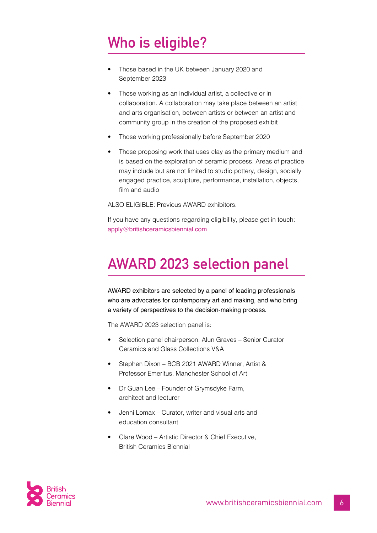# <span id="page-5-0"></span>**Who is eligible?**

- Those based in the UK between January 2020 and September 2023
- Those working as an individual artist, a collective or in collaboration. A collaboration may take place between an artist and arts organisation, between artists or between an artist and community group in the creation of the proposed exhibit
- Those working professionally before September 2020
- Those proposing work that uses clay as the primary medium and is based on the exploration of ceramic process. Areas of practice may include but are not limited to studio pottery, design, socially engaged practice, sculpture, performance, installation, objects, film and audio

ALSO ELIGIBLE: Previous AWARD exhibitors.

If you have any questions regarding eligibility, please get in touch: [apply@britishceramicsbiennial.com](mailto:apply%40britishceramicsbiennial.com?subject=AWARD%202023%20Application)

### <span id="page-5-1"></span>**AWARD 2023 selection panel**

AWARD exhibitors are selected by a panel of leading professionals who are advocates for contemporary art and making, and who bring a variety of perspectives to the decision-making process.

The AWARD 2023 selection panel is:

- Selection panel chairperson: Alun Graves Senior Curator Ceramics and Glass Collections V&A
- Stephen Dixon BCB 2021 AWARD Winner, Artist & Professor Emeritus, Manchester School of Art
- Dr Guan Lee Founder of Grymsdyke Farm, architect and lecturer
- Jenni Lomax Curator, writer and visual arts and education consultant
- Clare Wood Artistic Director & Chief Executive, British Ceramics Biennial

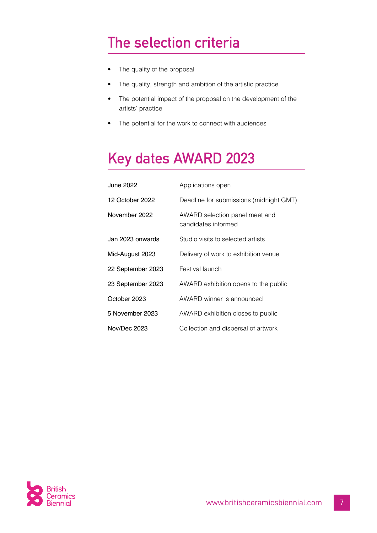### <span id="page-6-0"></span>**The selection criteria**

- The quality of the proposal
- The quality, strength and ambition of the artistic practice
- The potential impact of the proposal on the development of the artists' practice
- The potential for the work to connect with audiences

### <span id="page-6-1"></span>**Key dates AWARD 2023**

| June 2022         | Applications open                                     |
|-------------------|-------------------------------------------------------|
| 12 October 2022   | Deadline for submissions (midnight GMT)               |
| November 2022     | AWARD selection panel meet and<br>candidates informed |
| Jan 2023 onwards  | Studio visits to selected artists                     |
| Mid-August 2023   | Delivery of work to exhibition venue                  |
| 22 September 2023 | Festival launch                                       |
| 23 September 2023 | AWARD exhibition opens to the public                  |
| October 2023      | AWARD winner is announced                             |
| 5 November 2023   | AWARD exhibition closes to public                     |
| Nov/Dec 2023      | Collection and dispersal of artwork                   |

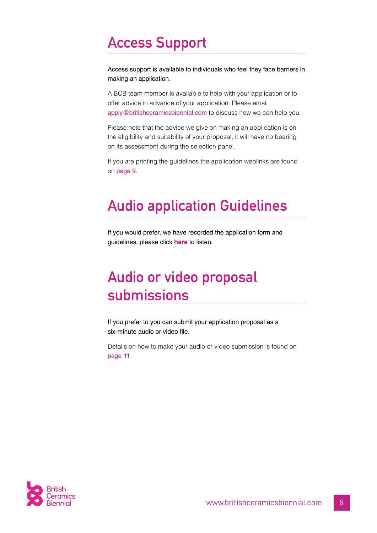### <span id="page-7-0"></span>**Access Support**

Access support is available to individuals who feel they face barriers in making an application.

A BCB team member is available to help with your application or to offer advice in advance of your application. Please email [apply@britishceramicsbiennial.com](mailto:apply%40britishceramicsbiennial.com?subject=AWARD%202023%20Application) to discuss how we can help you.

Please note that the advice we give on making an application is on the eligibility and suitability of your proposal, it will have no bearing on its assessment during the selection panel.

If you are printing the guidelines the application weblinks are found on [page 9](#page-8-0).

### <span id="page-7-1"></span>**Audio application Guidelines**

If you would prefer, we have recorded the application form and guidelines, please click **[here](https://soundcloud.com/british_ceramics_biennial/sets/award-2023-application-guidelines?)** to listen.

### <span id="page-7-2"></span>**Audio or video proposal submissions**

If you prefer to you can submit your application proposal as a six-minute audio or video file.

Details on how to make your audio or video submission is found on [page 11](#page-10-0).

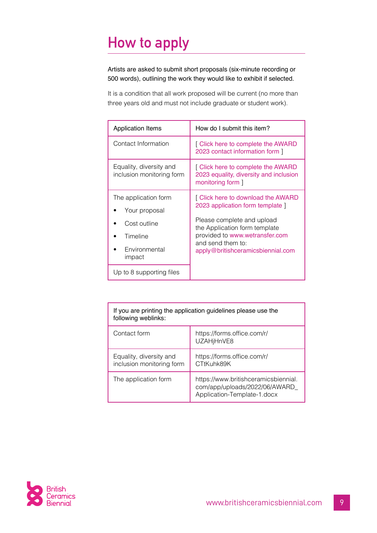# <span id="page-8-0"></span>**How to apply**

Artists are asked to submit short proposals (six-minute recording or 500 words), outlining the work they would like to exhibit if selected.

It is a condition that all work proposed will be current (no more than three years old and must not include graduate or student work).

| <b>Application Items</b>                                                                     | How do I submit this item?                                                                                                                                                                                                        |
|----------------------------------------------------------------------------------------------|-----------------------------------------------------------------------------------------------------------------------------------------------------------------------------------------------------------------------------------|
| Contact Information                                                                          | [ Click here to complete the AWARD<br>2023 contact information form 1                                                                                                                                                             |
| Equality, diversity and<br>inclusion monitoring form                                         | [ Click here to complete the AWARD<br>2023 equality, diversity and inclusion<br>monitoring form ]                                                                                                                                 |
| The application form<br>Your proposal<br>Cost outline<br>Timeline<br>Environmental<br>impact | [ Click here to download the AWARD<br>2023 application form template 1<br>Please complete and upload<br>the Application form template<br>provided to www.wetransfer.com<br>and send them to:<br>apply@britishceramicsbiennial.com |
| Up to 8 supporting files                                                                     |                                                                                                                                                                                                                                   |

| If you are printing the application guidelines please use the<br>following weblinks: |                                                                                                       |  |
|--------------------------------------------------------------------------------------|-------------------------------------------------------------------------------------------------------|--|
| Contact form                                                                         | https://forms.office.com/r/<br>UZAHjHnVE8                                                             |  |
| Equality, diversity and<br>inclusion monitoring form                                 | https://forms.office.com/r/<br>CTtKuhk89K                                                             |  |
| The application form                                                                 | https://www.britishceramicsbiennial.<br>com/app/uploads/2022/06/AWARD_<br>Application-Template-1.docx |  |

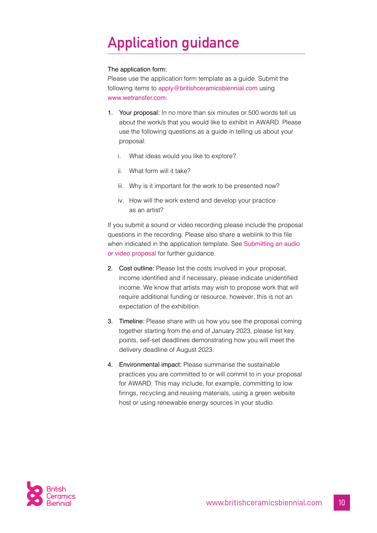# <span id="page-9-0"></span>**Application guidance**

#### The application form:

Please use the application form template as a guide. Submit the following items to [apply@britishceramicsbiennial.com](mailto:apply%40britishceramicsbiennial.com?subject=AWARD%202023%20Application) using [www.wetransfer.com](https://wetransfer.com):

- 1. Your proposal: In no more than six minutes or 500 words tell us about the work/s that you would like to exhibit in AWARD. Please use the following questions as a guide in telling us about your proposal:
	- i. What ideas would you like to explore?
	- ii. What form will it take?
	- iii. Why is it important for the work to be presented now?
	- iv. How will the work extend and develop your practice as an artist?

If you submit a sound or video recording please include the proposal questions in the recording. Please also share a weblink to this file when indicated in the application template. See Submitting an audio [or video proposal](#page-10-0) for further guidance.

- 2. Cost outline: Please list the costs involved in your proposal, income identified and if necessary, please indicate unidentified income. We know that artists may wish to propose work that will require additional funding or resource, however, this is not an expectation of the exhibition.
- 3. Timeline: Please share with us how you see the proposal coming together starting from the end of January 2023, please list key points, self-set deadlines demonstrating how you will meet the delivery deadline of August 2023.
- 4. Environmental impact: Please summarise the sustainable practices you are committed to or will commit to in your proposal for AWARD. This may include, for example, committing to low firings, recycling and reusing materials, using a green website host or using renewable energy sources in your studio.

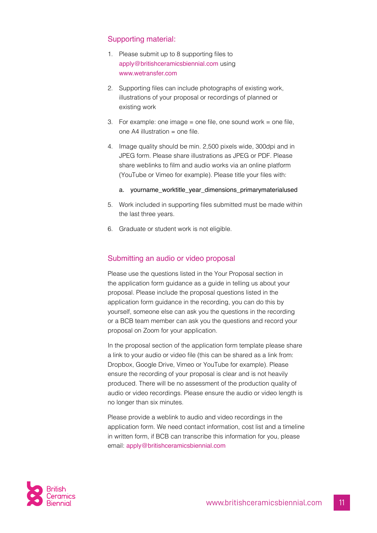#### Supporting material:

- 1. Please submit up to 8 supporting files to [apply@britishceramicsbiennial.com](mailto:apply%40britishceramicsbiennial.com?subject=AWARD%202023%20Application) using [www.wetransfer.com](https://wetransfer.com)
- 2. Supporting files can include photographs of existing work, illustrations of your proposal or recordings of planned or existing work
- 3. For example: one image = one file, one sound work = one file, one A4 illustration = one file.
- 4. Image quality should be min. 2,500 pixels wide, 300dpi and in JPEG form. Please share illustrations as JPEG or PDF. Please share weblinks to film and audio works via an online platform (YouTube or Vimeo for example). Please title your files with:
	- a. yourname worktitle year dimensions primarymaterialused
- 5. Work included in supporting files submitted must be made within the last three years.
- 6. Graduate or student work is not eligible.

#### <span id="page-10-0"></span>Submitting an audio or video proposal

Please use the questions listed in the Your Proposal section in the application form guidance as a guide in telling us about your proposal. Please include the proposal questions listed in the application form guidance in the recording, you can do this by yourself, someone else can ask you the questions in the recording or a BCB team member can ask you the questions and record your proposal on Zoom for your application.

In the proposal section of the application form template please share a link to your audio or video file (this can be shared as a link from: Dropbox, Google Drive, Vimeo or YouTube for example). Please ensure the recording of your proposal is clear and is not heavily produced. There will be no assessment of the production quality of audio or video recordings. Please ensure the audio or video length is no longer than six minutes.

Please provide a weblink to audio and video recordings in the application form. We need contact information, cost list and a timeline in written form, if BCB can transcribe this information for you, please email: [apply@britishceramicsbiennial.com](mailto:apply%40britishceramicsbiennial.com?subject=AWARD%202023%20Application)

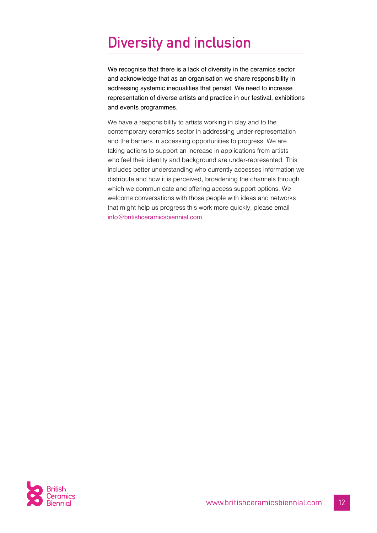### <span id="page-11-0"></span>**Diversity and inclusion**

We recognise that there is a lack of diversity in the ceramics sector and acknowledge that as an organisation we share responsibility in addressing systemic inequalities that persist. We need to increase representation of diverse artists and practice in our festival, exhibitions and events programmes.

We have a responsibility to artists working in clay and to the contemporary ceramics sector in addressing under-representation and the barriers in accessing opportunities to progress. We are taking actions to support an increase in applications from artists who feel their identity and background are under-represented. This includes better understanding who currently accesses information we distribute and how it is perceived, broadening the channels through which we communicate and offering access support options. We welcome conversations with those people with ideas and networks that might help us progress this work more quickly, please email [info@britishceramicsbiennial.com](mailto:info%40britishceramicsbiennial.com?subject=AWARD%202023%20Application%20Guidelines)

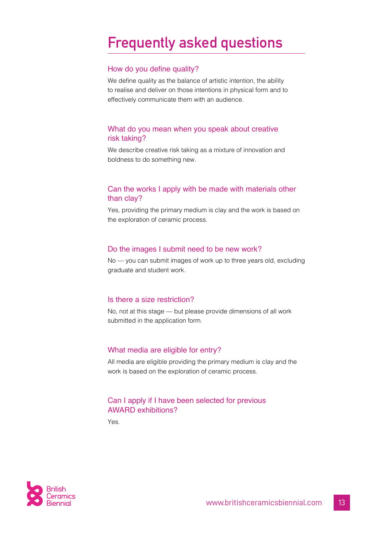### <span id="page-12-0"></span>**Frequently asked questions**

#### How do you define quality?

We define quality as the balance of artistic intention, the ability to realise and deliver on those intentions in physical form and to effectively communicate them with an audience.

#### What do you mean when you speak about creative risk taking?

We describe creative risk taking as a mixture of innovation and boldness to do something new.

#### Can the works I apply with be made with materials other than clay?

Yes, providing the primary medium is clay and the work is based on the exploration of ceramic process.

#### Do the images I submit need to be new work?

No — you can submit images of work up to three years old, excluding graduate and student work.

#### Is there a size restriction?

No, not at this stage — but please provide dimensions of all work submitted in the application form.

#### What media are eligible for entry?

All media are eligible providing the primary medium is clay and the work is based on the exploration of ceramic process.

#### Can I apply if I have been selected for previous AWARD exhibitions?

Yes.

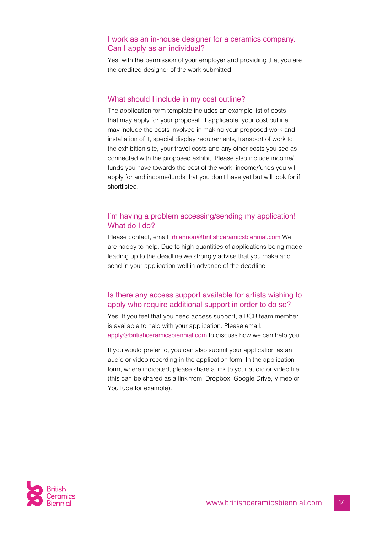#### I work as an in-house designer for a ceramics company. Can I apply as an individual?

Yes, with the permission of your employer and providing that you are the credited designer of the work submitted.

#### What should I include in my cost outline?

The application form template includes an example list of costs that may apply for your proposal. If applicable, your cost outline may include the costs involved in making your proposed work and installation of it, special display requirements, transport of work to the exhibition site, your travel costs and any other costs you see as connected with the proposed exhibit. Please also include income/ funds you have towards the cost of the work, income/funds you will apply for and income/funds that you don't have yet but will look for if shortlisted.

#### I'm having a problem accessing/sending my application! What do I do?

Please contact, email: [rhiannon@britishceramicsbiennial.com](mailto:rhiannon%40britishceramicsbiennial.com?subject=AWARD%202023%20%E2%80%93%20What%20do%20I%20do?) We are happy to help. Due to high quantities of applications being made leading up to the deadline we strongly advise that you make and send in your application well in advance of the deadline.

#### Is there any access support available for artists wishing to apply who require additional support in order to do so?

Yes. If you feel that you need access support, a BCB team member is available to help with your application. Please email: [apply@britishceramicsbiennial.com](mailto:apply%40britishceramicsbiennial.com?subject=AWARD%202023%20Application) to discuss how we can help you.

If you would prefer to, you can also submit your application as an audio or video recording in the application form. In the application form, where indicated, please share a link to your audio or video file (this can be shared as a link from: Dropbox, Google Drive, Vimeo or YouTube for example).